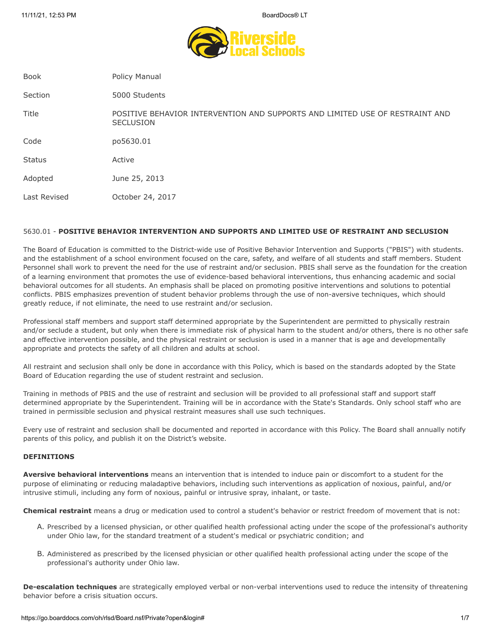

| <b>Book</b>   | Policy Manual                                                                                    |
|---------------|--------------------------------------------------------------------------------------------------|
| Section       | 5000 Students                                                                                    |
| Title         | POSITIVE BEHAVIOR INTERVENTION AND SUPPORTS AND LIMITED USE OF RESTRAINT AND<br><b>SECLUSION</b> |
| Code          | po5630.01                                                                                        |
| <b>Status</b> | Active                                                                                           |
| Adopted       | June 25, 2013                                                                                    |
| Last Revised  | October 24, 2017                                                                                 |
|               |                                                                                                  |

# 5630.01 - **POSITIVE BEHAVIOR INTERVENTION AND SUPPORTS AND LIMITED USE OF RESTRAINT AND SECLUSION**

The Board of Education is committed to the District-wide use of Positive Behavior Intervention and Supports ("PBIS") with students. and the establishment of a school environment focused on the care, safety, and welfare of all students and staff members. Student Personnel shall work to prevent the need for the use of restraint and/or seclusion. PBIS shall serve as the foundation for the creation of a learning environment that promotes the use of evidence-based behavioral interventions, thus enhancing academic and social behavioral outcomes for all students. An emphasis shall be placed on promoting positive interventions and solutions to potential conflicts. PBIS emphasizes prevention of student behavior problems through the use of non-aversive techniques, which should greatly reduce, if not eliminate, the need to use restraint and/or seclusion.

Professional staff members and support staff determined appropriate by the Superintendent are permitted to physically restrain and/or seclude a student, but only when there is immediate risk of physical harm to the student and/or others, there is no other safe and effective intervention possible, and the physical restraint or seclusion is used in a manner that is age and developmentally appropriate and protects the safety of all children and adults at school.

All restraint and seclusion shall only be done in accordance with this Policy, which is based on the standards adopted by the State Board of Education regarding the use of student restraint and seclusion.

Training in methods of PBIS and the use of restraint and seclusion will be provided to all professional staff and support staff determined appropriate by the Superintendent. Training will be in accordance with the State's Standards. Only school staff who are trained in permissible seclusion and physical restraint measures shall use such techniques.

Every use of restraint and seclusion shall be documented and reported in accordance with this Policy. The Board shall annually notify parents of this policy, and publish it on the District's website.

# **DEFINITIONS**

**Aversive behavioral interventions** means an intervention that is intended to induce pain or discomfort to a student for the purpose of eliminating or reducing maladaptive behaviors, including such interventions as application of noxious, painful, and/or intrusive stimuli, including any form of noxious, painful or intrusive spray, inhalant, or taste.

**Chemical restraint** means a drug or medication used to control a student's behavior or restrict freedom of movement that is not:

- A. Prescribed by a licensed physician, or other qualified health professional acting under the scope of the professional's authority under Ohio law, for the standard treatment of a student's medical or psychiatric condition; and
- B. Administered as prescribed by the licensed physician or other qualified health professional acting under the scope of the professional's authority under Ohio law.

**De-escalation techniques** are strategically employed verbal or non-verbal interventions used to reduce the intensity of threatening behavior before a crisis situation occurs.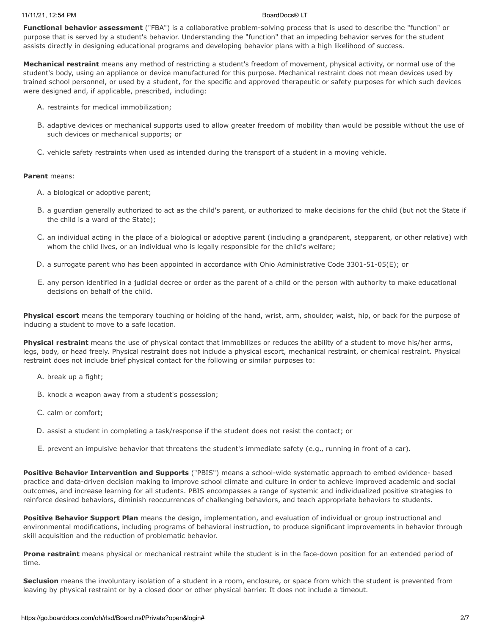### 11/11/21, 12:54 PM BoardDocs® LT

**Functional behavior assessment** ("FBA") is a collaborative problem-solving process that is used to describe the "function" or purpose that is served by a student's behavior. Understanding the "function" that an impeding behavior serves for the student assists directly in designing educational programs and developing behavior plans with a high likelihood of success.

**Mechanical restraint** means any method of restricting a student's freedom of movement, physical activity, or normal use of the student's body, using an appliance or device manufactured for this purpose. Mechanical restraint does not mean devices used by trained school personnel, or used by a student, for the specific and approved therapeutic or safety purposes for which such devices were designed and, if applicable, prescribed, including:

- A. restraints for medical immobilization;
- B. adaptive devices or mechanical supports used to allow greater freedom of mobility than would be possible without the use of such devices or mechanical supports; or
- C. vehicle safety restraints when used as intended during the transport of a student in a moving vehicle.

# **Parent** means:

- A. a biological or adoptive parent;
- B. a guardian generally authorized to act as the child's parent, or authorized to make decisions for the child (but not the State if the child is a ward of the State);
- C. an individual acting in the place of a biological or adoptive parent (including a grandparent, stepparent, or other relative) with whom the child lives, or an individual who is legally responsible for the child's welfare;
- D. a surrogate parent who has been appointed in accordance with Ohio Administrative Code 3301-51-05(E); or
- E. any person identified in a judicial decree or order as the parent of a child or the person with authority to make educational decisions on behalf of the child.

**Physical escort** means the temporary touching or holding of the hand, wrist, arm, shoulder, waist, hip, or back for the purpose of inducing a student to move to a safe location.

**Physical restraint** means the use of physical contact that immobilizes or reduces the ability of a student to move his/her arms, legs, body, or head freely. Physical restraint does not include a physical escort, mechanical restraint, or chemical restraint. Physical restraint does not include brief physical contact for the following or similar purposes to:

- A. break up a fight;
- B. knock a weapon away from a student's possession;
- C. calm or comfort;
- D. assist a student in completing a task/response if the student does not resist the contact; or
- E. prevent an impulsive behavior that threatens the student's immediate safety (e.g., running in front of a car).

**Positive Behavior Intervention and Supports** ("PBIS") means a school-wide systematic approach to embed evidence- based practice and data-driven decision making to improve school climate and culture in order to achieve improved academic and social outcomes, and increase learning for all students. PBIS encompasses a range of systemic and individualized positive strategies to reinforce desired behaviors, diminish reoccurrences of challenging behaviors, and teach appropriate behaviors to students.

**Positive Behavior Support Plan** means the design, implementation, and evaluation of individual or group instructional and environmental modifications, including programs of behavioral instruction, to produce significant improvements in behavior through skill acquisition and the reduction of problematic behavior.

**Prone restraint** means physical or mechanical restraint while the student is in the face-down position for an extended period of time.

**Seclusion** means the involuntary isolation of a student in a room, enclosure, or space from which the student is prevented from leaving by physical restraint or by a closed door or other physical barrier. It does not include a timeout.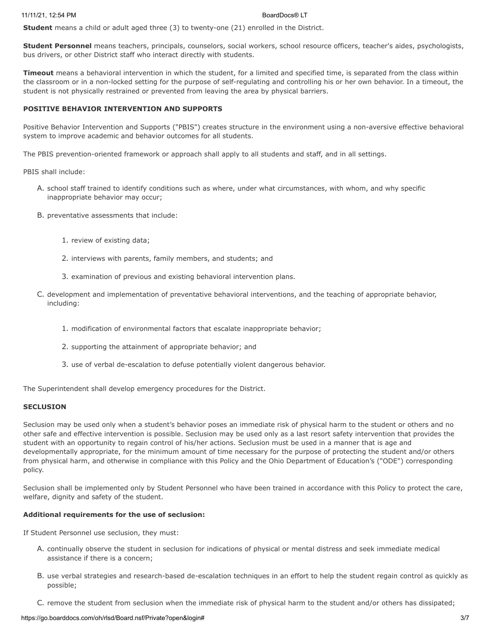**Student** means a child or adult aged three (3) to twenty-one (21) enrolled in the District.

**Student Personnel** means teachers, principals, counselors, social workers, school resource officers, teacher's aides, psychologists, bus drivers, or other District staff who interact directly with students.

**Timeout** means a behavioral intervention in which the student, for a limited and specified time, is separated from the class within the classroom or in a non-locked setting for the purpose of self-regulating and controlling his or her own behavior. In a timeout, the student is not physically restrained or prevented from leaving the area by physical barriers.

## **POSITIVE BEHAVIOR INTERVENTION AND SUPPORTS**

Positive Behavior Intervention and Supports ("PBIS") creates structure in the environment using a non-aversive effective behavioral system to improve academic and behavior outcomes for all students.

The PBIS prevention-oriented framework or approach shall apply to all students and staff, and in all settings.

PBIS shall include:

- A. school staff trained to identify conditions such as where, under what circumstances, with whom, and why specific inappropriate behavior may occur;
- B. preventative assessments that include:
	- 1. review of existing data;
	- 2. interviews with parents, family members, and students; and
	- 3. examination of previous and existing behavioral intervention plans.
- C. development and implementation of preventative behavioral interventions, and the teaching of appropriate behavior, including:
	- 1. modification of environmental factors that escalate inappropriate behavior;
	- 2. supporting the attainment of appropriate behavior; and
	- 3. use of verbal de-escalation to defuse potentially violent dangerous behavior.

The Superintendent shall develop emergency procedures for the District.

#### **SECLUSION**

Seclusion may be used only when a student's behavior poses an immediate risk of physical harm to the student or others and no other safe and effective intervention is possible. Seclusion may be used only as a last resort safety intervention that provides the student with an opportunity to regain control of his/her actions. Seclusion must be used in a manner that is age and developmentally appropriate, for the minimum amount of time necessary for the purpose of protecting the student and/or others from physical harm, and otherwise in compliance with this Policy and the Ohio Department of Education's ("ODE") corresponding policy.

Seclusion shall be implemented only by Student Personnel who have been trained in accordance with this Policy to protect the care, welfare, dignity and safety of the student.

### **Additional requirements for the use of seclusion:**

If Student Personnel use seclusion, they must:

- A. continually observe the student in seclusion for indications of physical or mental distress and seek immediate medical assistance if there is a concern;
- B. use verbal strategies and research-based de-escalation techniques in an effort to help the student regain control as quickly as possible;
- C. remove the student from seclusion when the immediate risk of physical harm to the student and/or others has dissipated;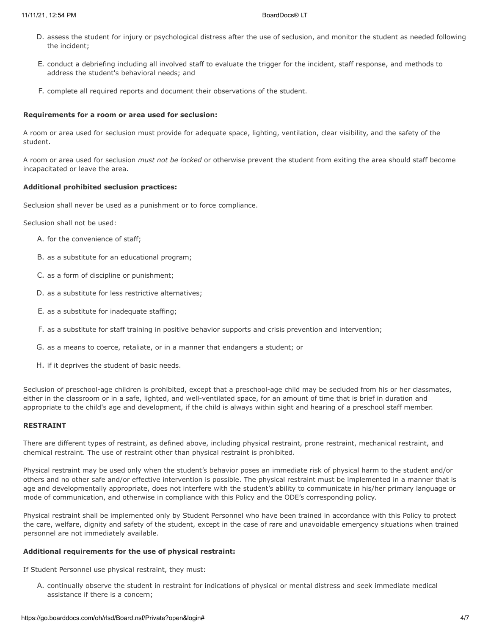- D. assess the student for injury or psychological distress after the use of seclusion, and monitor the student as needed following the incident;
- E. conduct a debriefing including all involved staff to evaluate the trigger for the incident, staff response, and methods to address the student's behavioral needs; and
- F. complete all required reports and document their observations of the student.

#### **Requirements for a room or area used for seclusion:**

A room or area used for seclusion must provide for adequate space, lighting, ventilation, clear visibility, and the safety of the student.

A room or area used for seclusion *must not be locked* or otherwise prevent the student from exiting the area should staff become incapacitated or leave the area.

### **Additional prohibited seclusion practices:**

Seclusion shall never be used as a punishment or to force compliance.

Seclusion shall not be used:

- A. for the convenience of staff;
- B. as a substitute for an educational program;
- C. as a form of discipline or punishment;
- D. as a substitute for less restrictive alternatives;
- E. as a substitute for inadequate staffing;
- F. as a substitute for staff training in positive behavior supports and crisis prevention and intervention;
- G. as a means to coerce, retaliate, or in a manner that endangers a student; or
- H. if it deprives the student of basic needs.

Seclusion of preschool-age children is prohibited, except that a preschool-age child may be secluded from his or her classmates, either in the classroom or in a safe, lighted, and well-ventilated space, for an amount of time that is brief in duration and appropriate to the child's age and development, if the child is always within sight and hearing of a preschool staff member.

### **RESTRAINT**

There are different types of restraint, as defined above, including physical restraint, prone restraint, mechanical restraint, and chemical restraint. The use of restraint other than physical restraint is prohibited.

Physical restraint may be used only when the student's behavior poses an immediate risk of physical harm to the student and/or others and no other safe and/or effective intervention is possible. The physical restraint must be implemented in a manner that is age and developmentally appropriate, does not interfere with the student's ability to communicate in his/her primary language or mode of communication, and otherwise in compliance with this Policy and the ODE's corresponding policy.

Physical restraint shall be implemented only by Student Personnel who have been trained in accordance with this Policy to protect the care, welfare, dignity and safety of the student, except in the case of rare and unavoidable emergency situations when trained personnel are not immediately available.

# **Additional requirements for the use of physical restraint:**

If Student Personnel use physical restraint, they must:

A. continually observe the student in restraint for indications of physical or mental distress and seek immediate medical assistance if there is a concern;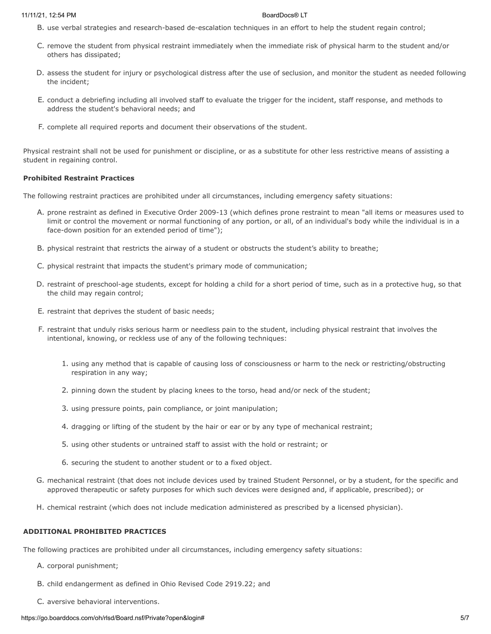#### 11/11/21, 12:54 PM BoardDocs® LT

- B. use verbal strategies and research-based de-escalation techniques in an effort to help the student regain control;
- C. remove the student from physical restraint immediately when the immediate risk of physical harm to the student and/or others has dissipated;
- D. assess the student for injury or psychological distress after the use of seclusion, and monitor the student as needed following the incident;
- E. conduct a debriefing including all involved staff to evaluate the trigger for the incident, staff response, and methods to address the student's behavioral needs; and
- F. complete all required reports and document their observations of the student.

Physical restraint shall not be used for punishment or discipline, or as a substitute for other less restrictive means of assisting a student in regaining control.

# **Prohibited Restraint Practices**

The following restraint practices are prohibited under all circumstances, including emergency safety situations:

- A. prone restraint as defined in Executive Order 2009-13 (which defines prone restraint to mean "all items or measures used to limit or control the movement or normal functioning of any portion, or all, of an individual's body while the individual is in a face-down position for an extended period of time");
- B. physical restraint that restricts the airway of a student or obstructs the student's ability to breathe;
- C. physical restraint that impacts the student's primary mode of communication;
- D. restraint of preschool-age students, except for holding a child for a short period of time, such as in a protective hug, so that the child may regain control;
- E. restraint that deprives the student of basic needs;
- F. restraint that unduly risks serious harm or needless pain to the student, including physical restraint that involves the intentional, knowing, or reckless use of any of the following techniques:
	- 1. using any method that is capable of causing loss of consciousness or harm to the neck or restricting/obstructing respiration in any way;
	- 2. pinning down the student by placing knees to the torso, head and/or neck of the student;
	- 3. using pressure points, pain compliance, or joint manipulation;
	- 4. dragging or lifting of the student by the hair or ear or by any type of mechanical restraint;
	- 5. using other students or untrained staff to assist with the hold or restraint; or
	- 6. securing the student to another student or to a fixed object.
- G. mechanical restraint (that does not include devices used by trained Student Personnel, or by a student, for the specific and approved therapeutic or safety purposes for which such devices were designed and, if applicable, prescribed); or
- H. chemical restraint (which does not include medication administered as prescribed by a licensed physician).

# **ADDITIONAL PROHIBITED PRACTICES**

The following practices are prohibited under all circumstances, including emergency safety situations:

- A. corporal punishment;
- B. child endangerment as defined in Ohio Revised Code 2919.22; and
- C. aversive behavioral interventions.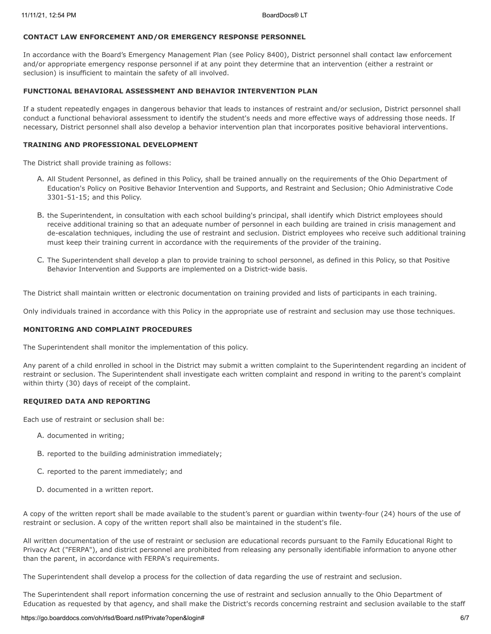# **CONTACT LAW ENFORCEMENT AND/OR EMERGENCY RESPONSE PERSONNEL**

In accordance with the Board's Emergency Management Plan (see Policy 8400), District personnel shall contact law enforcement and/or appropriate emergency response personnel if at any point they determine that an intervention (either a restraint or seclusion) is insufficient to maintain the safety of all involved.

# **FUNCTIONAL BEHAVIORAL ASSESSMENT AND BEHAVIOR INTERVENTION PLAN**

If a student repeatedly engages in dangerous behavior that leads to instances of restraint and/or seclusion, District personnel shall conduct a functional behavioral assessment to identify the student's needs and more effective ways of addressing those needs. If necessary, District personnel shall also develop a behavior intervention plan that incorporates positive behavioral interventions.

## **TRAINING AND PROFESSIONAL DEVELOPMENT**

The District shall provide training as follows:

- A. All Student Personnel, as defined in this Policy, shall be trained annually on the requirements of the Ohio Department of Education's Policy on Positive Behavior Intervention and Supports, and Restraint and Seclusion; Ohio Administrative Code 3301-51-15; and this Policy.
- B. the Superintendent, in consultation with each school building's principal, shall identify which District employees should receive additional training so that an adequate number of personnel in each building are trained in crisis management and de-escalation techniques, including the use of restraint and seclusion. District employees who receive such additional training must keep their training current in accordance with the requirements of the provider of the training.
- C. The Superintendent shall develop a plan to provide training to school personnel, as defined in this Policy, so that Positive Behavior Intervention and Supports are implemented on a District-wide basis.

The District shall maintain written or electronic documentation on training provided and lists of participants in each training.

Only individuals trained in accordance with this Policy in the appropriate use of restraint and seclusion may use those techniques.

# **MONITORING AND COMPLAINT PROCEDURES**

The Superintendent shall monitor the implementation of this policy.

Any parent of a child enrolled in school in the District may submit a written complaint to the Superintendent regarding an incident of restraint or seclusion. The Superintendent shall investigate each written complaint and respond in writing to the parent's complaint within thirty (30) days of receipt of the complaint.

# **REQUIRED DATA AND REPORTING**

Each use of restraint or seclusion shall be:

- A. documented in writing;
- B. reported to the building administration immediately;
- C. reported to the parent immediately; and
- D. documented in a written report.

A copy of the written report shall be made available to the student's parent or guardian within twenty-four (24) hours of the use of restraint or seclusion. A copy of the written report shall also be maintained in the student's file.

All written documentation of the use of restraint or seclusion are educational records pursuant to the Family Educational Right to Privacy Act ("FERPA"), and district personnel are prohibited from releasing any personally identifiable information to anyone other than the parent, in accordance with FERPA's requirements.

The Superintendent shall develop a process for the collection of data regarding the use of restraint and seclusion.

The Superintendent shall report information concerning the use of restraint and seclusion annually to the Ohio Department of Education as requested by that agency, and shall make the District's records concerning restraint and seclusion available to the staff